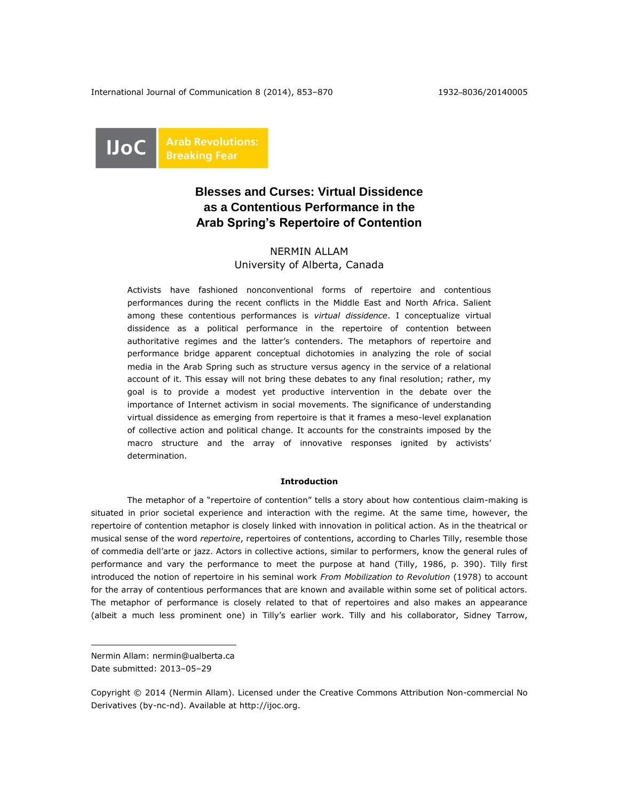International Journal of Communication 8 (2014), 853–870 1932–8036/20140005



# **Blesses and Curses: Virtual Dissidence as a Contentious Performance in the Arab Spring's Repertoire of Contention**

# NERMIN ALLAM University of Alberta, Canada

Activists have fashioned nonconventional forms of repertoire and contentious performances during the recent conflicts in the Middle East and North Africa. Salient among these contentious performances is *virtual dissidence*. I conceptualize virtual dissidence as a political performance in the repertoire of contention between authoritative regimes and the latter's contenders. The metaphors of repertoire and performance bridge apparent conceptual dichotomies in analyzing the role of social media in the Arab Spring such as structure versus agency in the service of a relational account of it. This essay will not bring these debates to any final resolution; rather, my goal is to provide a modest yet productive intervention in the debate over the importance of Internet activism in social movements. The significance of understanding virtual dissidence as emerging from repertoire is that it frames a meso-level explanation of collective action and political change. It accounts for the constraints imposed by the macro structure and the array of innovative responses ignited by activists' determination.

### **Introduction**

The metaphor of a "repertoire of contention" tells a story about how contentious claim-making is situated in prior societal experience and interaction with the regime. At the same time, however, the repertoire of contention metaphor is closely linked with innovation in political action. As in the theatrical or musical sense of the word *repertoire*, repertoires of contentions, according to Charles Tilly, resemble those of commedia dell'arte or jazz. Actors in collective actions, similar to performers, know the general rules of performance and vary the performance to meet the purpose at hand (Tilly, 1986, p. 390). Tilly first introduced the notion of repertoire in his seminal work *From Mobilization to Revolution* (1978) to account for the array of contentious performances that are known and available within some set of political actors. The metaphor of performance is closely related to that of repertoires and also makes an appearance (albeit a much less prominent one) in Tilly's earlier work. Tilly and his collaborator, Sidney Tarrow,

 $\overline{a}$ 

Nermin Allam: [nermin@ualberta.ca](mailto:nermin@ualberta.ca) Date submitted: 2013–05–29

Copyright © 2014 (Nermin Allam). Licensed under the Creative Commons Attribution Non-commercial No Derivatives (by-nc-nd). Available at http://ijoc.org.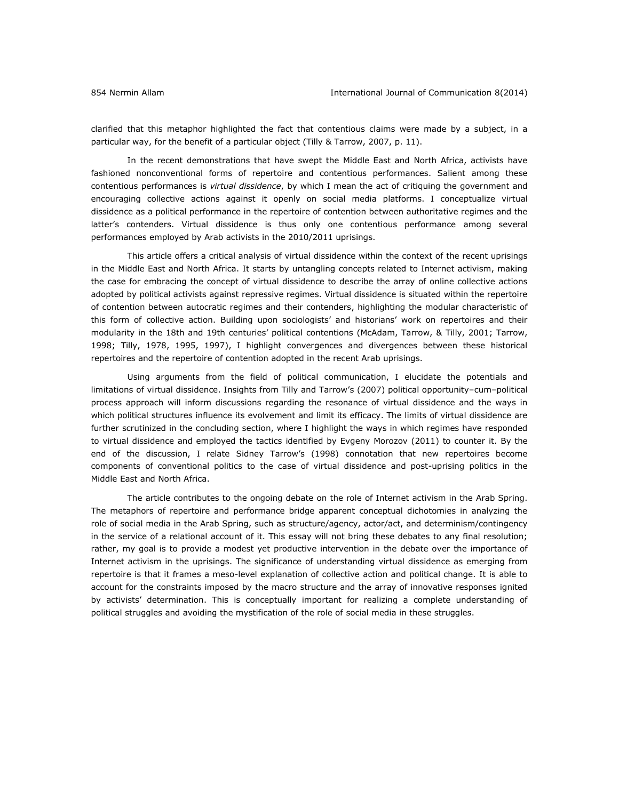clarified that this metaphor highlighted the fact that contentious claims were made by a subject, in a particular way, for the benefit of a particular object (Tilly & Tarrow, 2007, p. 11).

In the recent demonstrations that have swept the Middle East and North Africa, activists have fashioned nonconventional forms of repertoire and contentious performances. Salient among these contentious performances is *virtual dissidence*, by which I mean the act of critiquing the government and encouraging collective actions against it openly on social media platforms. I conceptualize virtual dissidence as a political performance in the repertoire of contention between authoritative regimes and the latter's contenders. Virtual dissidence is thus only one contentious performance among several performances employed by Arab activists in the 2010/2011 uprisings.

This article offers a critical analysis of virtual dissidence within the context of the recent uprisings in the Middle East and North Africa. It starts by untangling concepts related to Internet activism, making the case for embracing the concept of virtual dissidence to describe the array of online collective actions adopted by political activists against repressive regimes. Virtual dissidence is situated within the repertoire of contention between autocratic regimes and their contenders, highlighting the modular characteristic of this form of collective action. Building upon sociologists' and historians' work on repertoires and their modularity in the 18th and 19th centuries' political contentions (McAdam, Tarrow, & Tilly, 2001; Tarrow, 1998; Tilly, 1978, 1995, 1997), I highlight convergences and divergences between these historical repertoires and the repertoire of contention adopted in the recent Arab uprisings.

Using arguments from the field of political communication, I elucidate the potentials and limitations of virtual dissidence. Insights from Tilly and Tarrow's (2007) political opportunity–cum–political process approach will inform discussions regarding the resonance of virtual dissidence and the ways in which political structures influence its evolvement and limit its efficacy. The limits of virtual dissidence are further scrutinized in the concluding section, where I highlight the ways in which regimes have responded to virtual dissidence and employed the tactics identified by Evgeny Morozov (2011) to counter it. By the end of the discussion, I relate Sidney Tarrow's (1998) connotation that new repertoires become components of conventional politics to the case of virtual dissidence and post-uprising politics in the Middle East and North Africa.

The article contributes to the ongoing debate on the role of Internet activism in the Arab Spring. The metaphors of repertoire and performance bridge apparent conceptual dichotomies in analyzing the role of social media in the Arab Spring, such as structure/agency, actor/act, and determinism/contingency in the service of a relational account of it. This essay will not bring these debates to any final resolution; rather, my goal is to provide a modest yet productive intervention in the debate over the importance of Internet activism in the uprisings. The significance of understanding virtual dissidence as emerging from repertoire is that it frames a meso-level explanation of collective action and political change. It is able to account for the constraints imposed by the macro structure and the array of innovative responses ignited by activists' determination. This is conceptually important for realizing a complete understanding of political struggles and avoiding the mystification of the role of social media in these struggles.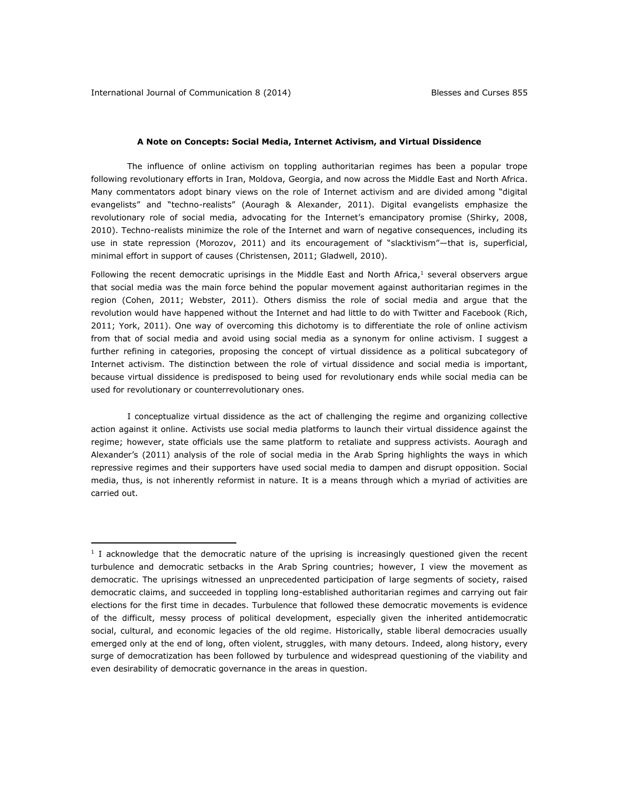$\overline{a}$ 

#### **A Note on Concepts: Social Media, Internet Activism, and Virtual Dissidence**

The influence of online activism on toppling authoritarian regimes has been a popular trope following revolutionary efforts in Iran, Moldova, Georgia, and now across the Middle East and North Africa. Many commentators adopt binary views on the role of Internet activism and are divided among "digital evangelists" and "techno-realists" (Aouragh & Alexander, 2011). Digital evangelists emphasize the revolutionary role of social media, advocating for the Internet's emancipatory promise (Shirky, 2008, 2010). Techno-realists minimize the role of the Internet and warn of negative consequences, including its use in state repression (Morozov, 2011) and its encouragement of "slacktivism"—that is, superficial, minimal effort in support of causes (Christensen, 2011; Gladwell, 2010).

Following the recent democratic uprisings in the Middle East and North Africa,<sup>1</sup> several observers argue that social media was the main force behind the popular movement against authoritarian regimes in the region (Cohen, 2011; Webster, 2011). Others dismiss the role of social media and argue that the revolution would have happened without the Internet and had little to do with Twitter and Facebook (Rich, 2011; York, 2011). One way of overcoming this dichotomy is to differentiate the role of online activism from that of social media and avoid using social media as a synonym for online activism. I suggest a further refining in categories, proposing the concept of virtual dissidence as a political subcategory of Internet activism. The distinction between the role of virtual dissidence and social media is important, because virtual dissidence is predisposed to being used for revolutionary ends while social media can be used for revolutionary or counterrevolutionary ones.

I conceptualize virtual dissidence as the act of challenging the regime and organizing collective action against it online. Activists use social media platforms to launch their virtual dissidence against the regime; however, state officials use the same platform to retaliate and suppress activists. Aouragh and Alexander's (2011) analysis of the role of social media in the Arab Spring highlights the ways in which repressive regimes and their supporters have used social media to dampen and disrupt opposition. Social media, thus, is not inherently reformist in nature. It is a means through which a myriad of activities are carried out.

<sup>&</sup>lt;sup>1</sup> I acknowledge that the democratic nature of the uprising is increasingly questioned given the recent turbulence and democratic setbacks in the Arab Spring countries; however, I view the movement as democratic. The uprisings witnessed an unprecedented participation of large segments of society, raised democratic claims, and succeeded in toppling long-established authoritarian regimes and carrying out fair elections for the first time in decades. Turbulence that followed these democratic movements is evidence of the difficult, messy process of political development, especially given the inherited antidemocratic social, cultural, and economic legacies of the old regime. Historically, stable liberal democracies usually emerged only at the end of long, often violent, struggles, with many detours. Indeed, along history, every surge of democratization has been followed by turbulence and widespread questioning of the viability and even desirability of democratic governance in the areas in question.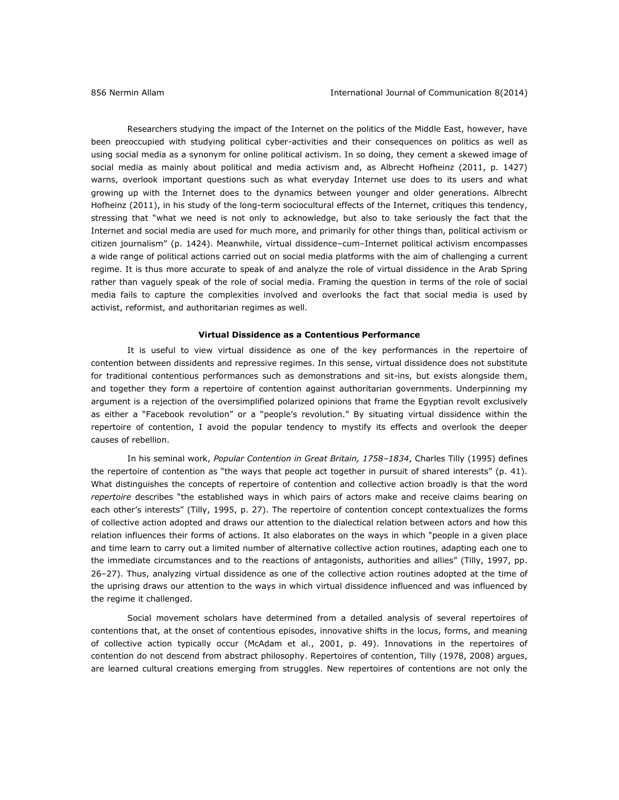Researchers studying the impact of the Internet on the politics of the Middle East, however, have been preoccupied with studying political cyber-activities and their consequences on politics as well as using social media as a synonym for online political activism. In so doing, they cement a skewed image of social media as mainly about political and media activism and, as Albrecht Hofheinz (2011, p. 1427) warns, overlook important questions such as what everyday Internet use does to its users and what growing up with the Internet does to the dynamics between younger and older generations. Albrecht Hofheinz (2011), in his study of the long-term sociocultural effects of the Internet, critiques this tendency, stressing that "what we need is not only to acknowledge, but also to take seriously the fact that the Internet and social media are used for much more, and primarily for other things than, political activism or citizen journalism" (p. 1424). Meanwhile, virtual dissidence–cum–Internet political activism encompasses a wide range of political actions carried out on social media platforms with the aim of challenging a current regime. It is thus more accurate to speak of and analyze the role of virtual dissidence in the Arab Spring rather than vaguely speak of the role of social media. Framing the question in terms of the role of social media fails to capture the complexities involved and overlooks the fact that social media is used by activist, reformist, and authoritarian regimes as well.

#### **Virtual Dissidence as a Contentious Performance**

It is useful to view virtual dissidence as one of the key performances in the repertoire of contention between dissidents and repressive regimes. In this sense, virtual dissidence does not substitute for traditional contentious performances such as demonstrations and sit-ins, but exists alongside them, and together they form a repertoire of contention against authoritarian governments. Underpinning my argument is a rejection of the oversimplified polarized opinions that frame the Egyptian revolt exclusively as either a "Facebook revolution" or a "people's revolution." By situating virtual dissidence within the repertoire of contention, I avoid the popular tendency to mystify its effects and overlook the deeper causes of rebellion.

In his seminal work, *Popular Contention in Great Britain, 1758–1834*, Charles Tilly (1995) defines the repertoire of contention as "the ways that people act together in pursuit of shared interests" (p. 41). What distinguishes the concepts of repertoire of contention and collective action broadly is that the word *repertoire* describes "the established ways in which pairs of actors make and receive claims bearing on each other's interests" (Tilly, 1995, p. 27). The repertoire of contention concept contextualizes the forms of collective action adopted and draws our attention to the dialectical relation between actors and how this relation influences their forms of actions. It also elaborates on the ways in which "people in a given place and time learn to carry out a limited number of alternative collective action routines, adapting each one to the immediate circumstances and to the reactions of antagonists, authorities and allies" (Tilly, 1997, pp. 26–27). Thus, analyzing virtual dissidence as one of the collective action routines adopted at the time of the uprising draws our attention to the ways in which virtual dissidence influenced and was influenced by the regime it challenged.

Social movement scholars have determined from a detailed analysis of several repertoires of contentions that, at the onset of contentious episodes, innovative shifts in the locus, forms, and meaning of collective action typically occur (McAdam et al., 2001, p. 49). Innovations in the repertoires of contention do not descend from abstract philosophy. Repertoires of contention, Tilly (1978, 2008) argues, are learned cultural creations emerging from struggles. New repertoires of contentions are not only the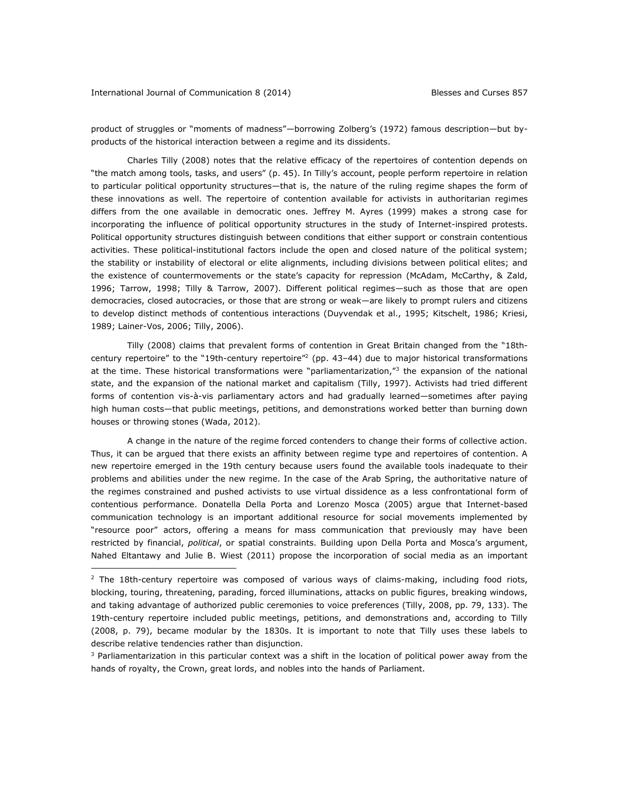$\overline{a}$ 

product of struggles or "moments of madness"—borrowing Zolberg's (1972) famous description—but byproducts of the historical interaction between a regime and its dissidents.

Charles Tilly (2008) notes that the relative efficacy of the repertoires of contention depends on "the match among tools, tasks, and users" (p. 45). In Tilly's account, people perform repertoire in relation to particular political opportunity structures—that is, the nature of the ruling regime shapes the form of these innovations as well. The repertoire of contention available for activists in authoritarian regimes differs from the one available in democratic ones. Jeffrey M. Ayres (1999) makes a strong case for incorporating the influence of political opportunity structures in the study of Internet-inspired protests. Political opportunity structures distinguish between conditions that either support or constrain contentious activities. These political-institutional factors include the open and closed nature of the political system; the stability or instability of electoral or elite alignments, including divisions between political elites; and the existence of countermovements or the state's capacity for repression (McAdam, McCarthy, & Zald, 1996; Tarrow, 1998; Tilly & Tarrow, 2007). Different political regimes—such as those that are open democracies, closed autocracies, or those that are strong or weak—are likely to prompt rulers and citizens to develop distinct methods of contentious interactions (Duyvendak et al., 1995; Kitschelt, 1986; Kriesi, 1989; Lainer-Vos, 2006; Tilly, 2006).

Tilly (2008) claims that prevalent forms of contention in Great Britain changed from the "18thcentury repertoire" to the "19th-century repertoire"<sup>2</sup> (pp. 43–44) due to major historical transformations at the time. These historical transformations were "parliamentarization,"<sup>3</sup> the expansion of the national state, and the expansion of the national market and capitalism (Tilly, 1997). Activists had tried different forms of contention vis-à-vis parliamentary actors and had gradually learned—sometimes after paying high human costs—that public meetings, petitions, and demonstrations worked better than burning down houses or throwing stones (Wada, 2012).

A change in the nature of the regime forced contenders to change their forms of collective action. Thus, it can be argued that there exists an affinity between regime type and repertoires of contention. A new repertoire emerged in the 19th century because users found the available tools inadequate to their problems and abilities under the new regime. In the case of the Arab Spring, the authoritative nature of the regimes constrained and pushed activists to use virtual dissidence as a less confrontational form of contentious performance. Donatella Della Porta and Lorenzo Mosca (2005) argue that Internet-based communication technology is an important additional resource for social movements implemented by "resource poor" actors, offering a means for mass communication that previously may have been restricted by financial, *political*, or spatial constraints. Building upon Della Porta and Mosca's argument, Nahed Eltantawy and Julie B. Wiest (2011) propose the incorporation of social media as an important

<sup>3</sup> Parliamentarization in this particular context was a shift in the location of political power away from the hands of royalty, the Crown, great lords, and nobles into the hands of Parliament.

 $2$  The 18th-century repertoire was composed of various ways of claims-making, including food riots, blocking, touring, threatening, parading, forced illuminations, attacks on public figures, breaking windows, and taking advantage of authorized public ceremonies to voice preferences (Tilly, 2008, pp. 79, 133). The 19th-century repertoire included public meetings, petitions, and demonstrations and, according to Tilly (2008, p. 79), became modular by the 1830s. It is important to note that Tilly uses these labels to describe relative tendencies rather than disjunction.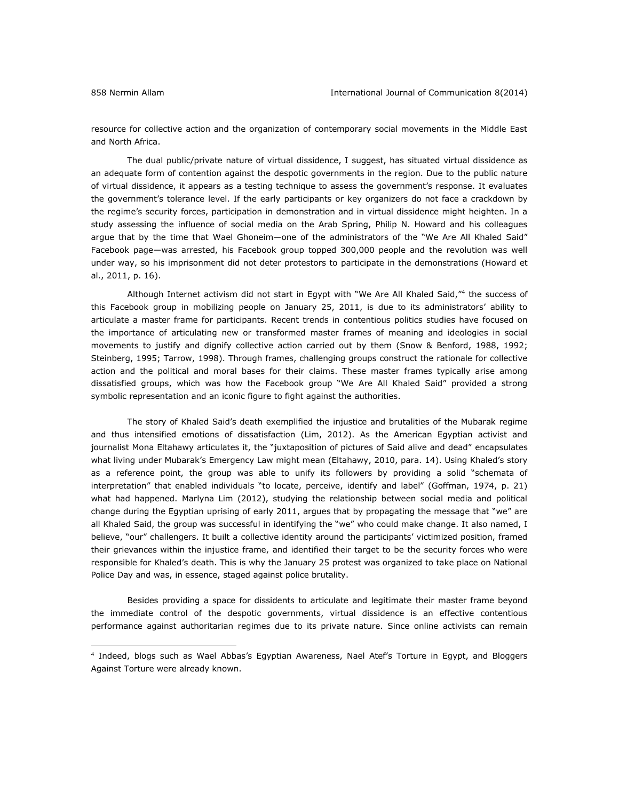$\overline{a}$ 

resource for collective action and the organization of contemporary social movements in the Middle East and North Africa.

The dual public/private nature of virtual dissidence, I suggest, has situated virtual dissidence as an adequate form of contention against the despotic governments in the region. Due to the public nature of virtual dissidence, it appears as a testing technique to assess the government's response. It evaluates the government's tolerance level. If the early participants or key organizers do not face a crackdown by the regime's security forces, participation in demonstration and in virtual dissidence might heighten. In a study assessing the influence of social media on the Arab Spring, Philip N. Howard and his colleagues argue that by the time that Wael Ghoneim—one of the administrators of the "We Are All Khaled Said" Facebook page—was arrested, his Facebook group topped 300,000 people and the revolution was well under way, so his imprisonment did not deter protestors to participate in the demonstrations (Howard et al., 2011, p. 16).

Although Internet activism did not start in Egypt with "We Are All Khaled Said,"<sup>4</sup> the success of this Facebook group in mobilizing people on January 25, 2011, is due to its administrators' ability to articulate a master frame for participants. Recent trends in contentious politics studies have focused on the importance of articulating new or transformed master frames of meaning and ideologies in social movements to justify and dignify collective action carried out by them (Snow & Benford, 1988, 1992; Steinberg, 1995; Tarrow, 1998). Through frames, challenging groups construct the rationale for collective action and the political and moral bases for their claims. These master frames typically arise among dissatisfied groups, which was how the Facebook group "We Are All Khaled Said" provided a strong symbolic representation and an iconic figure to fight against the authorities.

The story of Khaled Said's death exemplified the injustice and brutalities of the Mubarak regime and thus intensified emotions of dissatisfaction (Lim, 2012). As the American Egyptian activist and journalist Mona Eltahawy articulates it, the "juxtaposition of pictures of Said alive and dead" encapsulates what living under Mubarak's Emergency Law might mean (Eltahawy, 2010, para. 14). Using Khaled's story as a reference point, the group was able to unify its followers by providing a solid "schemata of interpretation" that enabled individuals "to locate, perceive, identify and label" (Goffman, 1974, p. 21) what had happened. Marlyna Lim (2012), studying the relationship between social media and political change during the Egyptian uprising of early 2011, argues that by propagating the message that "we" are all Khaled Said, the group was successful in identifying the "we" who could make change. It also named, I believe, "our" challengers. It built a collective identity around the participants' victimized position, framed their grievances within the injustice frame, and identified their target to be the security forces who were responsible for Khaled's death. This is why the January 25 protest was organized to take place on National Police Day and was, in essence, staged against police brutality.

Besides providing a space for dissidents to articulate and legitimate their master frame beyond the immediate control of the despotic governments, virtual dissidence is an effective contentious performance against authoritarian regimes due to its private nature. Since online activists can remain

<sup>4</sup> Indeed, blogs such as Wael Abbas's Egyptian Awareness, Nael Atef's Torture in Egypt, and Bloggers Against Torture were already known.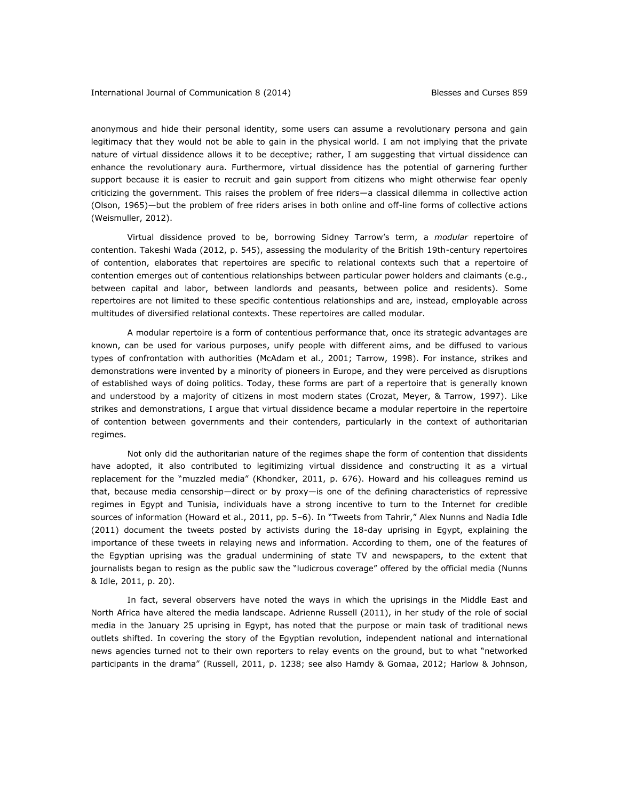anonymous and hide their personal identity, some users can assume a revolutionary persona and gain legitimacy that they would not be able to gain in the physical world. I am not implying that the private nature of virtual dissidence allows it to be deceptive; rather, I am suggesting that virtual dissidence can enhance the revolutionary aura. Furthermore, virtual dissidence has the potential of garnering further support because it is easier to recruit and gain support from citizens who might otherwise fear openly criticizing the government. This raises the problem of free riders—a classical dilemma in collective action (Olson, 1965)—but the problem of free riders arises in both online and off-line forms of collective actions (Weismuller, 2012).

Virtual dissidence proved to be, borrowing Sidney Tarrow's term, a *modular* repertoire of contention. Takeshi Wada (2012, p. 545), assessing the modularity of the British 19th-century repertoires of contention, elaborates that repertoires are specific to relational contexts such that a repertoire of contention emerges out of contentious relationships between particular power holders and claimants (e.g., between capital and labor, between landlords and peasants, between police and residents). Some repertoires are not limited to these specific contentious relationships and are, instead, employable across multitudes of diversified relational contexts. These repertoires are called modular.

A modular repertoire is a form of contentious performance that, once its strategic advantages are known, can be used for various purposes, unify people with different aims, and be diffused to various types of confrontation with authorities (McAdam et al., 2001; Tarrow, 1998). For instance, strikes and demonstrations were invented by a minority of pioneers in Europe, and they were perceived as disruptions of established ways of doing politics. Today, these forms are part of a repertoire that is generally known and understood by a majority of citizens in most modern states (Crozat, Meyer, & Tarrow, 1997). Like strikes and demonstrations, I argue that virtual dissidence became a modular repertoire in the repertoire of contention between governments and their contenders, particularly in the context of authoritarian regimes.

Not only did the authoritarian nature of the regimes shape the form of contention that dissidents have adopted, it also contributed to legitimizing virtual dissidence and constructing it as a virtual replacement for the "muzzled media" (Khondker, 2011, p. 676). Howard and his colleagues remind us that, because media censorship—direct or by proxy—is one of the defining characteristics of repressive regimes in Egypt and Tunisia, individuals have a strong incentive to turn to the Internet for credible sources of information (Howard et al., 2011, pp. 5–6). In "Tweets from Tahrir," Alex Nunns and Nadia Idle (2011) document the tweets posted by activists during the 18-day uprising in Egypt, explaining the importance of these tweets in relaying news and information. According to them, one of the features of the Egyptian uprising was the gradual undermining of state TV and newspapers, to the extent that journalists began to resign as the public saw the "ludicrous coverage" offered by the official media (Nunns & Idle, 2011, p. 20).

In fact, several observers have noted the ways in which the uprisings in the Middle East and North Africa have altered the media landscape. Adrienne Russell (2011), in her study of the role of social media in the January 25 uprising in Egypt, has noted that the purpose or main task of traditional news outlets shifted. In covering the story of the Egyptian revolution, independent national and international news agencies turned not to their own reporters to relay events on the ground, but to what "networked participants in the drama" (Russell, 2011, p. 1238; see also Hamdy & Gomaa, 2012; Harlow & Johnson,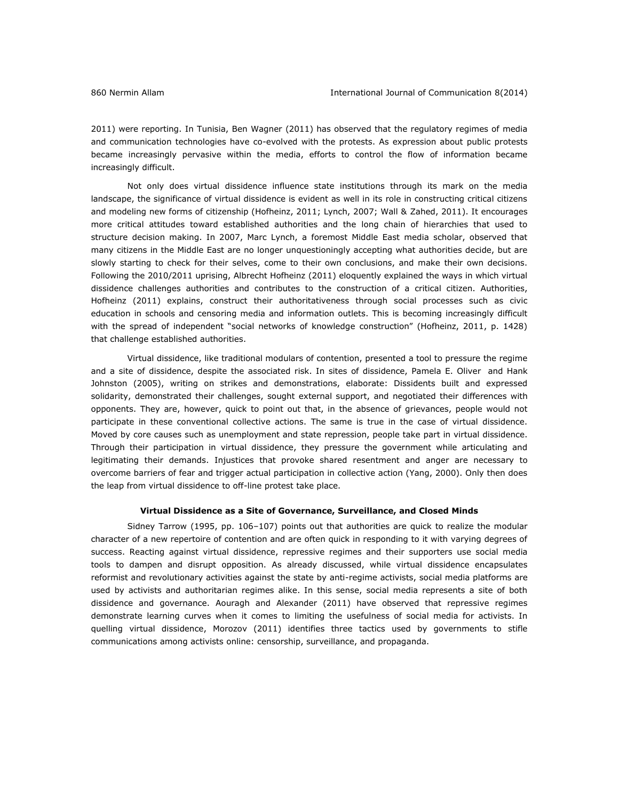2011) were reporting. In Tunisia, Ben Wagner (2011) has observed that the regulatory regimes of media and communication technologies have co-evolved with the protests. As expression about public protests became increasingly pervasive within the media, efforts to control the flow of information became increasingly difficult.

Not only does virtual dissidence influence state institutions through its mark on the media landscape, the significance of virtual dissidence is evident as well in its role in constructing critical citizens and modeling new forms of citizenship (Hofheinz, 2011; Lynch, 2007; Wall & Zahed, 2011). It encourages more critical attitudes toward established authorities and the long chain of hierarchies that used to structure decision making. In 2007, Marc Lynch, a foremost Middle East media scholar, observed that many citizens in the Middle East are no longer unquestioningly accepting what authorities decide, but are slowly starting to check for their selves, come to their own conclusions, and make their own decisions. Following the 2010/2011 uprising, Albrecht Hofheinz (2011) eloquently explained the ways in which virtual dissidence challenges authorities and contributes to the construction of a critical citizen. Authorities, Hofheinz (2011) explains, construct their authoritativeness through social processes such as civic education in schools and censoring media and information outlets. This is becoming increasingly difficult with the spread of independent "social networks of knowledge construction" (Hofheinz, 2011, p. 1428) that challenge established authorities.

Virtual dissidence, like traditional modulars of contention, presented a tool to pressure the regime and a site of dissidence, despite the associated risk. In sites of dissidence, Pamela E. Oliver and Hank Johnston (2005), writing on strikes and demonstrations, elaborate: Dissidents built and expressed solidarity, demonstrated their challenges, sought external support, and negotiated their differences with opponents. They are, however, quick to point out that, in the absence of grievances, people would not participate in these conventional collective actions. The same is true in the case of virtual dissidence. Moved by core causes such as unemployment and state repression, people take part in virtual dissidence. Through their participation in virtual dissidence, they pressure the government while articulating and legitimating their demands. Injustices that provoke shared resentment and anger are necessary to overcome barriers of fear and trigger actual participation in collective action (Yang, 2000). Only then does the leap from virtual dissidence to off-line protest take place.

# **Virtual Dissidence as a Site of Governance, Surveillance, and Closed Minds**

Sidney Tarrow (1995, pp. 106–107) points out that authorities are quick to realize the modular character of a new repertoire of contention and are often quick in responding to it with varying degrees of success. Reacting against virtual dissidence, repressive regimes and their supporters use social media tools to dampen and disrupt opposition. As already discussed, while virtual dissidence encapsulates reformist and revolutionary activities against the state by anti-regime activists, social media platforms are used by activists and authoritarian regimes alike. In this sense, social media represents a site of both dissidence and governance. Aouragh and Alexander (2011) have observed that repressive regimes demonstrate learning curves when it comes to limiting the usefulness of social media for activists. In quelling virtual dissidence, Morozov (2011) identifies three tactics used by governments to stifle communications among activists online: censorship, surveillance, and propaganda.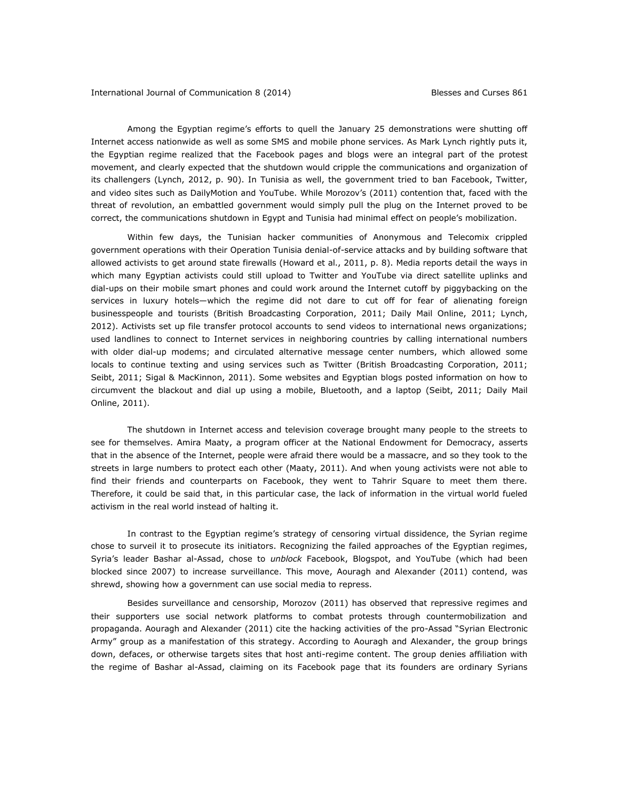Among the Egyptian regime's efforts to quell the January 25 demonstrations were shutting off Internet access nationwide as well as some SMS and mobile phone services. As Mark Lynch rightly puts it, the Egyptian regime realized that the Facebook pages and blogs were an integral part of the protest movement, and clearly expected that the shutdown would cripple the communications and organization of its challengers (Lynch, 2012, p. 90). In Tunisia as well, the government tried to ban Facebook, Twitter, and video sites such as DailyMotion and YouTube. While Morozov's (2011) contention that, faced with the threat of revolution, an embattled government would simply pull the plug on the Internet proved to be correct, the communications shutdown in Egypt and Tunisia had minimal effect on people's mobilization.

Within few days, the Tunisian hacker communities of Anonymous and Telecomix crippled government operations with their Operation Tunisia denial-of-service attacks and by building software that allowed activists to get around state firewalls (Howard et al., 2011, p. 8). Media reports detail the ways in which many Egyptian activists could still upload to Twitter and YouTube via direct satellite uplinks and dial-ups on their mobile smart phones and could work around the Internet cutoff by piggybacking on the services in luxury hotels—which the regime did not dare to cut off for fear of alienating foreign businesspeople and tourists (British Broadcasting Corporation, 2011; Daily Mail Online, 2011; Lynch, 2012). Activists set up file transfer protocol accounts to send videos to international news organizations; used landlines to connect to Internet services in neighboring countries by calling international numbers with older dial-up modems; and circulated alternative message center numbers, which allowed some locals to continue texting and using services such as Twitter (British Broadcasting Corporation, 2011; Seibt, 2011; Sigal & MacKinnon, 2011). Some websites and Egyptian blogs posted information on how to circumvent the blackout and dial up using a mobile, Bluetooth, and a laptop (Seibt, 2011; Daily Mail Online, 2011).

The shutdown in Internet access and television coverage brought many people to the streets to see for themselves. Amira Maaty, a program officer at the National Endowment for Democracy, asserts that in the absence of the Internet, people were afraid there would be a massacre, and so they took to the streets in large numbers to protect each other (Maaty, 2011). And when young activists were not able to find their friends and counterparts on Facebook, they went to Tahrir Square to meet them there. Therefore, it could be said that, in this particular case, the lack of information in the virtual world fueled activism in the real world instead of halting it.

In contrast to the Egyptian regime's strategy of censoring virtual dissidence, the Syrian regime chose to surveil it to prosecute its initiators. Recognizing the failed approaches of the Egyptian regimes, Syria's leader Bashar al-Assad, chose to *unblock* Facebook, Blogspot, and YouTube (which had been blocked since 2007) to increase surveillance. This move, Aouragh and Alexander (2011) contend, was shrewd, showing how a government can use social media to repress.

Besides surveillance and censorship, Morozov (2011) has observed that repressive regimes and their supporters use social network platforms to combat protests through countermobilization and propaganda. Aouragh and Alexander (2011) cite the hacking activities of the pro-Assad "Syrian Electronic Army" group as a manifestation of this strategy. According to Aouragh and Alexander, the group brings down, defaces, or otherwise targets sites that host anti-regime content. The group denies affiliation with the regime of Bashar al-Assad, claiming on its Facebook page that its founders are ordinary Syrians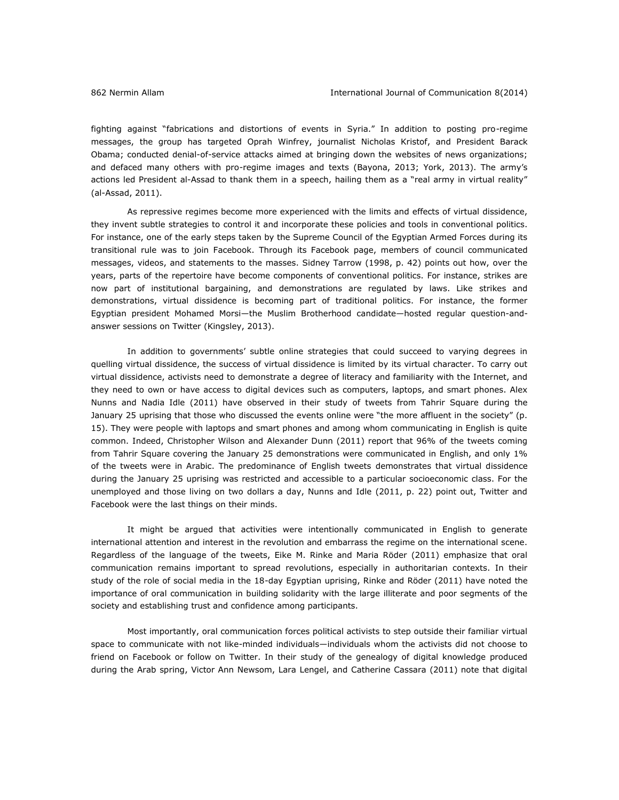fighting against "fabrications and distortions of events in Syria." In addition to posting pro-regime messages, the group has targeted Oprah Winfrey, journalist Nicholas Kristof, and President Barack Obama; conducted denial-of-service attacks aimed at bringing down the websites of news organizations; and defaced many others with pro-regime images and texts (Bayona, 2013; York, 2013). The army's actions led President al-Assad to thank them in a speech, hailing them as a "real army in virtual reality" (al-Assad, 2011).

As repressive regimes become more experienced with the limits and effects of virtual dissidence, they invent subtle strategies to control it and incorporate these policies and tools in conventional politics. For instance, one of the early steps taken by the Supreme Council of the Egyptian Armed Forces during its transitional rule was to join Facebook. Through its Facebook page, members of council communicated messages, videos, and statements to the masses. Sidney Tarrow (1998, p. 42) points out how, over the years, parts of the repertoire have become components of conventional politics. For instance, strikes are now part of institutional bargaining, and demonstrations are regulated by laws. Like strikes and demonstrations, virtual dissidence is becoming part of traditional politics. For instance, the former Egyptian president Mohamed Morsi—the Muslim Brotherhood candidate—hosted regular question-andanswer sessions on Twitter (Kingsley, 2013).

In addition to governments' subtle online strategies that could succeed to varying degrees in quelling virtual dissidence, the success of virtual dissidence is limited by its virtual character. To carry out virtual dissidence, activists need to demonstrate a degree of literacy and familiarity with the Internet, and they need to own or have access to digital devices such as computers, laptops, and smart phones. Alex Nunns and Nadia Idle (2011) have observed in their study of tweets from Tahrir Square during the January 25 uprising that those who discussed the events online were "the more affluent in the society" (p. 15). They were people with laptops and smart phones and among whom communicating in English is quite common. Indeed, Christopher Wilson and Alexander Dunn (2011) report that 96% of the tweets coming from Tahrir Square covering the January 25 demonstrations were communicated in English, and only 1% of the tweets were in Arabic. The predominance of English tweets demonstrates that virtual dissidence during the January 25 uprising was restricted and accessible to a particular socioeconomic class. For the unemployed and those living on two dollars a day, Nunns and Idle (2011, p. 22) point out, Twitter and Facebook were the last things on their minds.

It might be argued that activities were intentionally communicated in English to generate international attention and interest in the revolution and embarrass the regime on the international scene. Regardless of the language of the tweets, Eike M. Rinke and Maria Röder (2011) emphasize that oral communication remains important to spread revolutions, especially in authoritarian contexts. In their study of the role of social media in the 18-day Egyptian uprising, Rinke and Röder (2011) have noted the importance of oral communication in building solidarity with the large illiterate and poor segments of the society and establishing trust and confidence among participants.

Most importantly, oral communication forces political activists to step outside their familiar virtual space to communicate with not like-minded individuals—individuals whom the activists did not choose to friend on Facebook or follow on Twitter. In their study of the genealogy of digital knowledge produced during the Arab spring, Victor Ann Newsom, Lara Lengel, and Catherine Cassara (2011) note that digital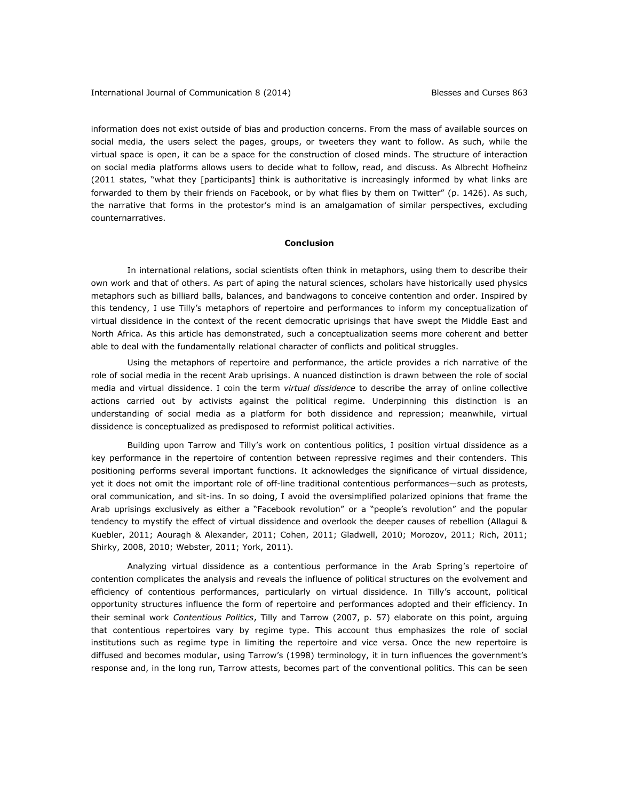information does not exist outside of bias and production concerns. From the mass of available sources on social media, the users select the pages, groups, or tweeters they want to follow. As such, while the virtual space is open, it can be a space for the construction of closed minds. The structure of interaction on social media platforms allows users to decide what to follow, read, and discuss. As Albrecht Hofheinz (2011 states, "what they [participants] think is authoritative is increasingly informed by what links are forwarded to them by their friends on Facebook, or by what flies by them on Twitter" (p. 1426). As such, the narrative that forms in the protestor's mind is an amalgamation of similar perspectives, excluding counternarratives.

# **Conclusion**

In international relations, social scientists often think in metaphors, using them to describe their own work and that of others. As part of aping the natural sciences, scholars have historically used physics metaphors such as billiard balls, balances, and bandwagons to conceive contention and order. Inspired by this tendency, I use Tilly's metaphors of repertoire and performances to inform my conceptualization of virtual dissidence in the context of the recent democratic uprisings that have swept the Middle East and North Africa. As this article has demonstrated, such a conceptualization seems more coherent and better able to deal with the fundamentally relational character of conflicts and political struggles.

Using the metaphors of repertoire and performance, the article provides a rich narrative of the role of social media in the recent Arab uprisings. A nuanced distinction is drawn between the role of social media and virtual dissidence. I coin the term *virtual dissidence* to describe the array of online collective actions carried out by activists against the political regime. Underpinning this distinction is an understanding of social media as a platform for both dissidence and repression; meanwhile, virtual dissidence is conceptualized as predisposed to reformist political activities.

Building upon Tarrow and Tilly's work on contentious politics, I position virtual dissidence as a key performance in the repertoire of contention between repressive regimes and their contenders. This positioning performs several important functions. It acknowledges the significance of virtual dissidence, yet it does not omit the important role of off-line traditional contentious performances—such as protests, oral communication, and sit-ins. In so doing, I avoid the oversimplified polarized opinions that frame the Arab uprisings exclusively as either a "Facebook revolution" or a "people's revolution" and the popular tendency to mystify the effect of virtual dissidence and overlook the deeper causes of rebellion (Allagui & Kuebler, 2011; Aouragh & Alexander, 2011; Cohen, 2011; Gladwell, 2010; Morozov, 2011; Rich, 2011; Shirky, 2008, 2010; Webster, 2011; York, 2011).

Analyzing virtual dissidence as a contentious performance in the Arab Spring's repertoire of contention complicates the analysis and reveals the influence of political structures on the evolvement and efficiency of contentious performances, particularly on virtual dissidence. In Tilly's account, political opportunity structures influence the form of repertoire and performances adopted and their efficiency. In their seminal work *Contentious Politics*, Tilly and Tarrow (2007, p. 57) elaborate on this point, arguing that contentious repertoires vary by regime type. This account thus emphasizes the role of social institutions such as regime type in limiting the repertoire and vice versa. Once the new repertoire is diffused and becomes modular, using Tarrow's (1998) terminology, it in turn influences the government's response and, in the long run, Tarrow attests, becomes part of the conventional politics. This can be seen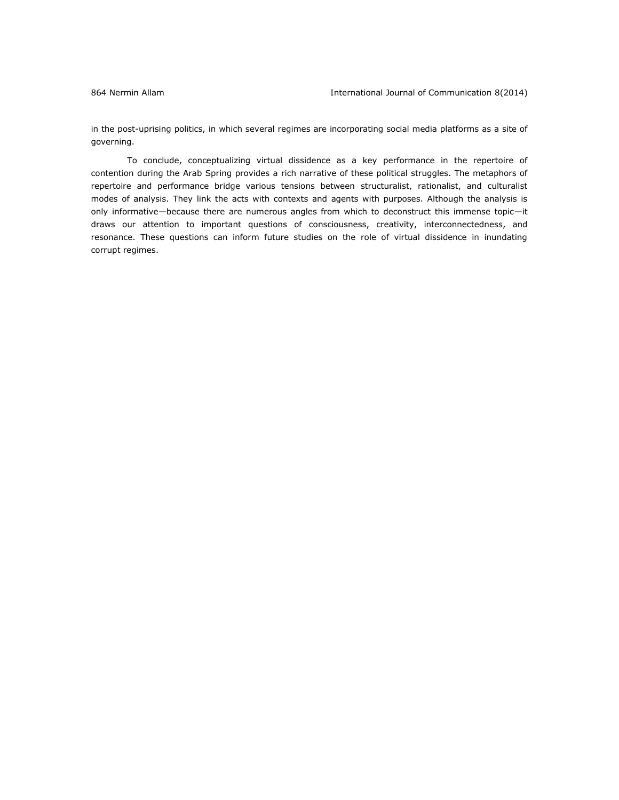in the post-uprising politics, in which several regimes are incorporating social media platforms as a site of governing.

To conclude, conceptualizing virtual dissidence as a key performance in the repertoire of contention during the Arab Spring provides a rich narrative of these political struggles. The metaphors of repertoire and performance bridge various tensions between structuralist, rationalist, and culturalist modes of analysis. They link the acts with contexts and agents with purposes. Although the analysis is only informative—because there are numerous angles from which to deconstruct this immense topic—it draws our attention to important questions of consciousness, creativity, interconnectedness, and resonance. These questions can inform future studies on the role of virtual dissidence in inundating corrupt regimes.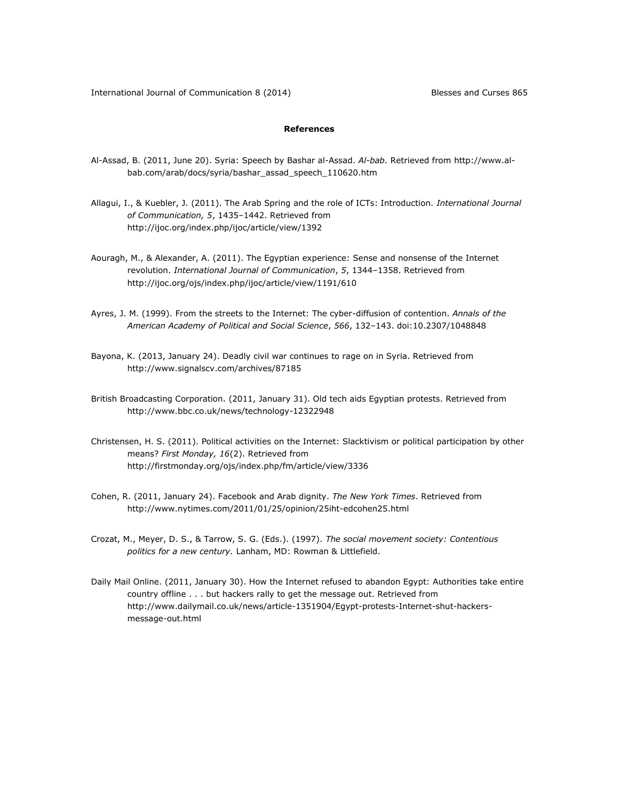# **References**

- Al-Assad, B. (2011, June 20). Syria: Speech by Bashar al-Assad. *Al-bab.* Retrieved from [http://www.al](http://www.al-bab.com/arab/docs/syria/bashar_assad_speech_110620.htm)[bab.com/arab/docs/syria/bashar\\_assad\\_speech\\_110620.htm](http://www.al-bab.com/arab/docs/syria/bashar_assad_speech_110620.htm)
- Allagui, I., & Kuebler, J. (2011). The Arab Spring and the role of ICTs: Introduction. *International Journal of Communication, 5*, 1435–1442. Retrieved from <http://ijoc.org/index.php/ijoc/article/view/1392>
- Aouragh, M., & Alexander, A. (2011). The Egyptian experience: Sense and nonsense of the Internet revolution. *International Journal of Communication*, *5*, 1344–1358. Retrieved from <http://ijoc.org/ojs/index.php/ijoc/article/view/1191/610>
- Ayres, J. M. (1999). From the streets to the Internet: The cyber-diffusion of contention. *Annals of the American Academy of Political and Social Science*, *566*, 132–143. doi:10.2307/1048848
- Bayona, K. (2013, January 24). Deadly civil war continues to rage on in Syria. Retrieved from <http://www.signalscv.com/archives/87185>
- British Broadcasting Corporation. (2011, January 31). Old tech aids Egyptian protests. Retrieved from <http://www.bbc.co.uk/news/technology-12322948>
- Christensen, H. S. (2011). Political activities on the Internet: Slacktivism or political participation by other means? *First Monday, 16*(2). Retrieved from <http://firstmonday.org/ojs/index.php/fm/article/view/3336>
- Cohen, R. (2011, January 24). Facebook and Arab dignity. *The New York Times*. Retrieved from <http://www.nytimes.com/2011/01/25/opinion/25iht-edcohen25.html>
- Crozat, M., Meyer, D. S., & Tarrow, S. G. (Eds.). (1997). *The social movement society: Contentious politics for a new century.* Lanham, MD: Rowman & Littlefield.
- Daily Mail Online. (2011, January 30). How the Internet refused to abandon Egypt: Authorities take entire country offline . . . but hackers rally to get the message out. Retrieved from [http://www.dailymail.co.uk/news/article-1351904/Egypt-protests-Internet-shut-hackers](http://www.dailymail.co.uk/news/article-1351904/Egypt-protests-Internet-shut-hackers-message-out.html)[message-out.html](http://www.dailymail.co.uk/news/article-1351904/Egypt-protests-Internet-shut-hackers-message-out.html)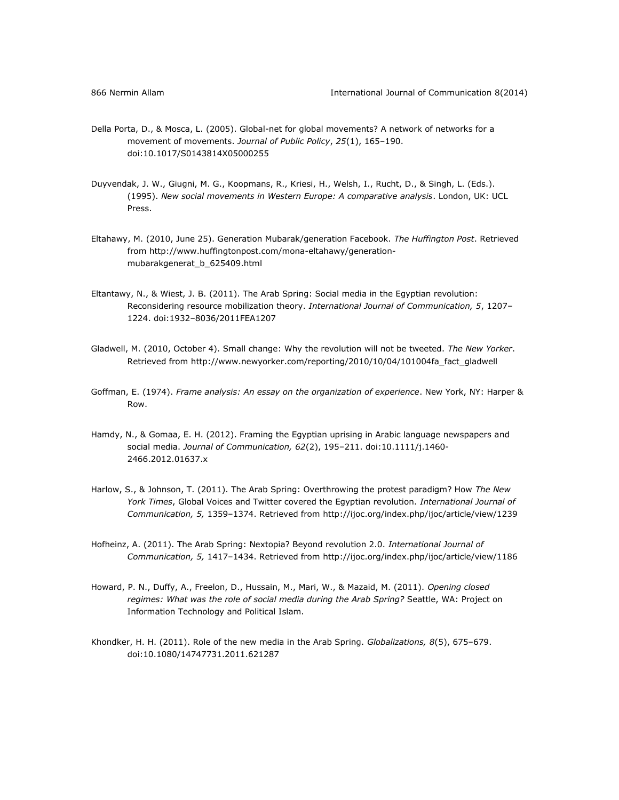- Della Porta, D., & Mosca, L. (2005). Global-net for global movements? A network of networks for a movement of movements. *Journal of Public Policy*, *25*(1), 165–190. doi:10.1017/S0143814X05000255
- Duyvendak, J. W., Giugni, M. G., Koopmans, R., Kriesi, H., Welsh, I., Rucht, D., & Singh, L. (Eds.). (1995). *New social movements in Western Europe: A comparative analysis*. London, UK: UCL Press.
- Eltahawy, M. (2010, June 25). Generation Mubarak/generation Facebook. *The Huffington Post*. Retrieved from [http://www.huffingtonpost.com/mona-eltahawy/generation](http://www.huffingtonpost.com/mona-eltahawy/generation-mubarakgenerat_b_625409.html)[mubarakgenerat\\_b\\_625409.html](http://www.huffingtonpost.com/mona-eltahawy/generation-mubarakgenerat_b_625409.html)
- Eltantawy, N., & Wiest, J. B. (2011). The Arab Spring: Social media in the Egyptian revolution: Reconsidering resource mobilization theory. *International Journal of Communication, 5*, 1207– 1224. doi:1932–8036/2011FEA1207
- Gladwell, M. (2010, October 4). Small change: Why the revolution will not be tweeted. *The New Yorker*. Retrieved from [http://www.newyorker.com/reporting/2010/10/04/101004fa\\_fact\\_gladwell](http://www.newyorker.com/reporting/2010/10/04/101004fa_fact_gladwell)
- Goffman, E. (1974). *Frame analysis: An essay on the organization of experience*. New York, NY: Harper & Row.
- Hamdy, N., & Gomaa, E. H. (2012). Framing the Egyptian uprising in Arabic language newspapers and social media. *Journal of Communication, 62*(2), 195–211. doi:10.1111/j.1460- 2466.2012.01637.x
- Harlow, S., & Johnson, T. (2011). The Arab Spring: Overthrowing the protest paradigm? How *The New York Times*, Global Voices and Twitter covered the Egyptian revolution. *International Journal of Communication, 5,* 1359–1374. Retrieved from<http://ijoc.org/index.php/ijoc/article/view/1239>
- Hofheinz, A. (2011). The Arab Spring: Nextopia? Beyond revolution 2.0. *International Journal of Communication, 5,* 1417–1434. Retrieved from<http://ijoc.org/index.php/ijoc/article/view/1186>
- Howard, P. N., Duffy, A., Freelon, D., Hussain, M., Mari, W., & Mazaid, M. (2011). *Opening closed regimes: What was the role of social media during the Arab Spring?* Seattle, WA: Project on Information Technology and Political Islam.
- Khondker, H. H. (2011). Role of the new media in the Arab Spring. *Globalizations, 8*(5), 675–679. doi:10.1080/14747731.2011.621287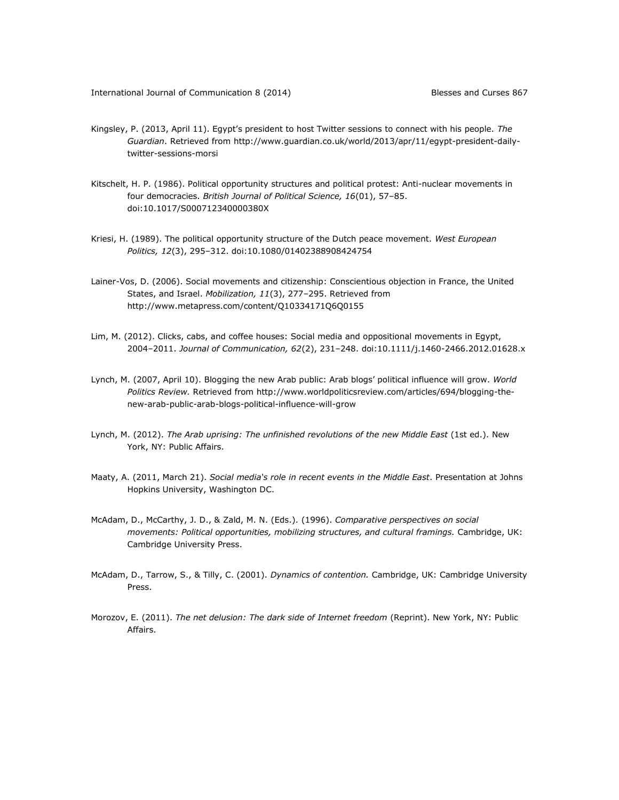- Kingsley, P. (2013, April 11). Egypt's president to host Twitter sessions to connect with his people. *The Guardian*. Retrieved from [http://www.guardian.co.uk/world/2013/apr/11/egypt-president-daily](http://www.guardian.co.uk/world/2013/apr/11/egypt-president-daily-twitter-sessions-morsi)[twitter-sessions-morsi](http://www.guardian.co.uk/world/2013/apr/11/egypt-president-daily-twitter-sessions-morsi)
- Kitschelt, H. P. (1986). Political opportunity structures and political protest: Anti-nuclear movements in four democracies. *British Journal of Political Science, 16*(01), 57–85. doi:10.1017/S000712340000380X
- Kriesi, H. (1989). The political opportunity structure of the Dutch peace movement. *West European Politics, 12*(3), 295–312. doi:10.1080/01402388908424754
- Lainer-Vos, D. (2006). Social movements and citizenship: Conscientious objection in France, the United States, and Israel. *Mobilization, 11*(3), 277–295. Retrieved from <http://www.metapress.com/content/Q10334171Q6Q0155>
- Lim, M. (2012). Clicks, cabs, and coffee houses: Social media and oppositional movements in Egypt, 2004–2011. *Journal of Communication, 62*(2), 231–248. doi:10.1111/j.1460-2466.2012.01628.x
- Lynch, M. (2007, April 10). Blogging the new Arab public: Arab blogs' political influence will grow. *World Politics Review.* Retrieved from [http://www.worldpoliticsreview.com/articles/694/blogging-the](http://www.worldpoliticsreview.com/articles/694/blogging-the-new-arab-public-arab-blogs-political-influence-will-grow)[new-arab-public-arab-blogs-political-influence-will-grow](http://www.worldpoliticsreview.com/articles/694/blogging-the-new-arab-public-arab-blogs-political-influence-will-grow)
- Lynch, M. (2012). *The Arab uprising: The unfinished revolutions of the new Middle East* (1st ed.). New York, NY: Public Affairs.
- Maaty, A. (2011, March 21). *Social media's role in recent events in the Middle East*. Presentation at Johns Hopkins University, Washington DC.
- McAdam, D., McCarthy, J. D., & Zald, M. N. (Eds.). (1996). *Comparative perspectives on social movements: Political opportunities, mobilizing structures, and cultural framings.* Cambridge, UK: Cambridge University Press.
- McAdam, D., Tarrow, S., & Tilly, C. (2001). *Dynamics of contention.* Cambridge, UK: Cambridge University Press.
- Morozov, E. (2011). *The net delusion: The dark side of Internet freedom* (Reprint). New York, NY: Public Affairs.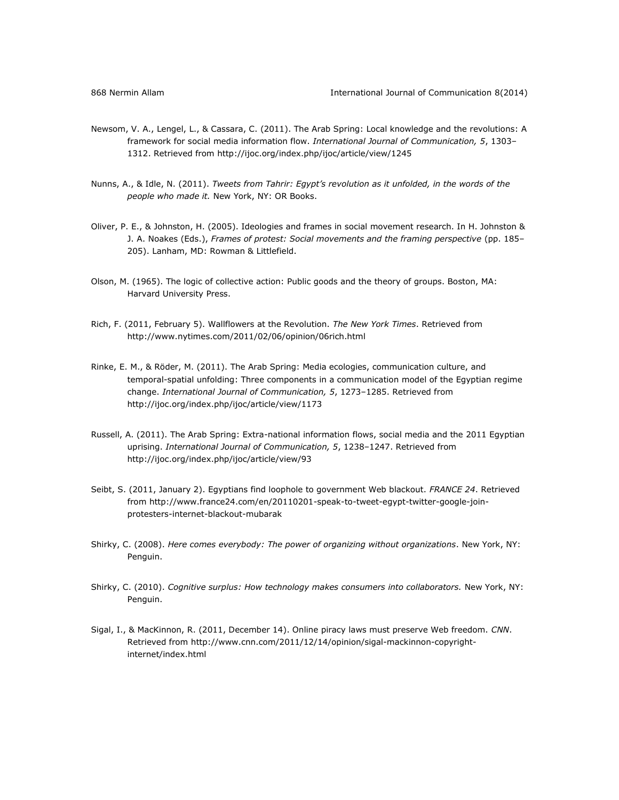- Newsom, V. A., Lengel, L., & Cassara, C. (2011). The Arab Spring: Local knowledge and the revolutions: A framework for social media information flow. *International Journal of Communication, 5*, 1303– 1312. Retrieved from<http://ijoc.org/index.php/ijoc/article/view/1245>
- Nunns, A., & Idle, N. (2011). *Tweets from Tahrir: Egypt's revolution as it unfolded, in the words of the people who made it.* New York, NY: OR Books.
- Oliver, P. E., & Johnston, H. (2005). Ideologies and frames in social movement research. In H. Johnston & J. A. Noakes (Eds.), *Frames of protest: Social movements and the framing perspective* (pp. 185– 205). Lanham, MD: Rowman & Littlefield.
- Olson, M. (1965). The logic of collective action: Public goods and the theory of groups. Boston, MA: Harvard University Press.
- Rich, F. (2011, February 5). Wallflowers at the Revolution. *The New York Times*. Retrieved from <http://www.nytimes.com/2011/02/06/opinion/06rich.html>
- Rinke, E. M., & Röder, M. (2011). The Arab Spring: Media ecologies, communication culture, and temporal-spatial unfolding: Three components in a communication model of the Egyptian regime change. *International Journal of Communication, 5*, 1273–1285. Retrieved from <http://ijoc.org/index.php/ijoc/article/view/1173>
- Russell, A. (2011). The Arab Spring: Extra-national information flows, social media and the 2011 Egyptian uprising. *International Journal of Communication, 5*, 1238–1247. Retrieved from <http://ijoc.org/index.php/ijoc/article/view/93>
- Seibt, S. (2011, January 2). Egyptians find loophole to government Web blackout. *FRANCE 24*. Retrieved from [http://www.france24.com/en/20110201-speak-to-tweet-egypt-twitter-google-join](http://www.france24.com/en/20110201-speak-to-tweet-egypt-twitter-google-join-protesters-internet-blackout-mubarak)[protesters-internet-blackout-mubarak](http://www.france24.com/en/20110201-speak-to-tweet-egypt-twitter-google-join-protesters-internet-blackout-mubarak)
- Shirky, C. (2008). *Here comes everybody: The power of organizing without organizations*. New York, NY: Penguin.
- Shirky, C. (2010). *Cognitive surplus: How technology makes consumers into collaborators.* New York, NY: Penguin.
- Sigal, I., & MacKinnon, R. (2011, December 14). Online piracy laws must preserve Web freedom. *CNN*. Retrieved from [http://www.cnn.com/2011/12/14/opinion/sigal-mackinnon-copyright](http://www.cnn.com/2011/12/14/opinion/sigal-mackinnon-copyright-internet/index.html)[internet/index.html](http://www.cnn.com/2011/12/14/opinion/sigal-mackinnon-copyright-internet/index.html)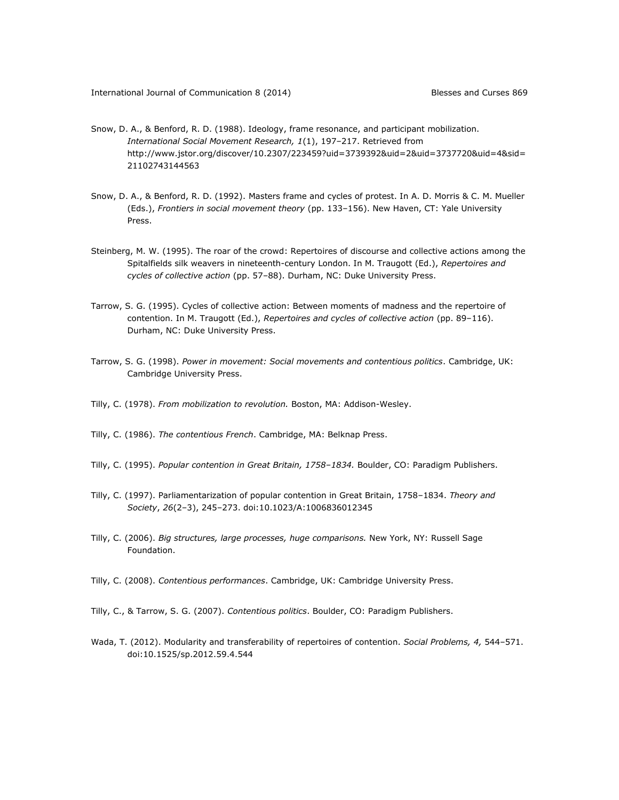- Snow, D. A., & Benford, R. D. (1988). Ideology, frame resonance, and participant mobilization. *International Social Movement Research, 1*(1), 197–217. Retrieved from [http://www.jstor.org/discover/10.2307/223459?uid=3739392&uid=2&uid=3737720&uid=4&sid=](http://www.jstor.org/discover/10.2307/223459?uid=3739392&uid=2&uid=3737720&uid=4&sid=21102743144563) [21102743144563](http://www.jstor.org/discover/10.2307/223459?uid=3739392&uid=2&uid=3737720&uid=4&sid=21102743144563)
- Snow, D. A., & Benford, R. D. (1992). Masters frame and cycles of protest. In A. D. Morris & C. M. Mueller (Eds.), *Frontiers in social movement theory* (pp. 133–156). New Haven, CT: Yale University Press.
- Steinberg, M. W. (1995). The roar of the crowd: Repertoires of discourse and collective actions among the Spitalfields silk weavers in nineteenth-century London. In M. Traugott (Ed.), *Repertoires and cycles of collective action* (pp. 57–88). Durham, NC: Duke University Press.
- Tarrow, S. G. (1995). Cycles of collective action: Between moments of madness and the repertoire of contention. In M. Traugott (Ed.), *Repertoires and cycles of collective action* (pp. 89–116). Durham, NC: Duke University Press.
- Tarrow, S. G. (1998). *Power in movement: Social movements and contentious politics*. Cambridge, UK: Cambridge University Press.
- Tilly, C. (1978). *From mobilization to revolution.* Boston, MA: Addison-Wesley.
- Tilly, C. (1986). *The contentious French*. Cambridge, MA: Belknap Press.
- Tilly, C. (1995). *Popular contention in Great Britain, 1758–1834.* Boulder, CO: Paradigm Publishers.
- Tilly, C. (1997). Parliamentarization of popular contention in Great Britain, 1758–1834. *Theory and Society*, *26*(2–3), 245–273. doi:10.1023/A:1006836012345
- Tilly, C. (2006). *Big structures, large processes, huge comparisons.* New York, NY: Russell Sage Foundation.
- Tilly, C. (2008). *Contentious performances*. Cambridge, UK: Cambridge University Press.
- Tilly, C., & Tarrow, S. G. (2007). *Contentious politics*. Boulder, CO: Paradigm Publishers.
- Wada, T. (2012). Modularity and transferability of repertoires of contention. *Social Problems, 4,* 544–571. doi:10.1525/sp.2012.59.4.544